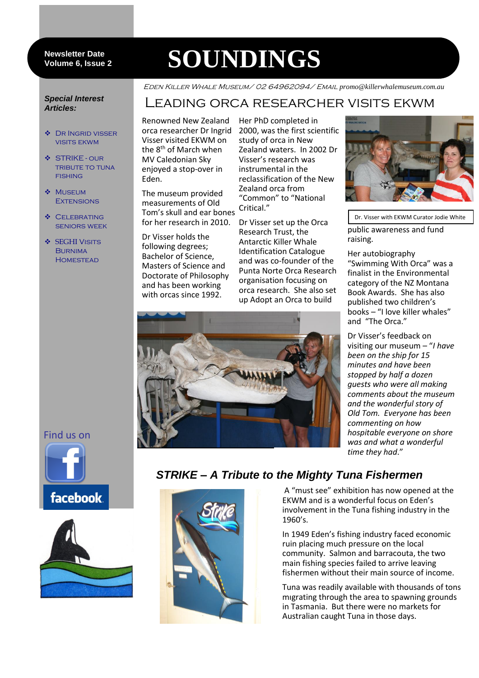#### **Newsletter Date Volume 6, Issue 2**

# **SOUNDINGS**

#### *Special Interest Articles:*

- ◆ DR INGRID VISSER visits ekwm
- STRIKE our tribute to tuna **FISHING**
- **MUSEUM EXTENSIONS**
- ❖ CELEBRATING seniors week
- **❖ SEGHI VISITS BURNIMA HOMESTEAD**

## Eden Killer Whale Museum/ 02 64962094/ Email *promo@killerwhalemuseum.com.au*

## Leading orca researcher visits ekwm

Renowned New Zealand orca researcher Dr Ingrid Visser visited EKWM on the 8<sup>th</sup> of March when MV Caledonian Sky enjoyed a stop-over in Eden.

The museum provided measurements of Old Tom's skull and ear bones for her research in 2010.

Dr Visser holds the following degrees; Bachelor of Science, Masters of Science and Doctorate of Philosophy and has been working with orcas since 1992.

Her PhD completed in 2000, was the first scientific study of orca in New Zealand waters. In 2002 Dr Visser's research was instrumental in the reclassification of the New Zealand orca from "Common" to "National Critical."

Dr Visser set up the Orca Research Trust, the Antarctic Killer Whale Identification Catalogue and was co-founder of the Punta Norte Orca Research organisation focusing on orca research. She also set up Adopt an Orca to build



public awareness and fund raising. Dr. Visser with EKWM Curator Jodie White

Her autobiography "Swimming With Orca" was a finalist in the Environmental category of the NZ Montana Book Awards. She has also published two children's books – "I love killer whales" and "The Orca."

Dr Visser's feedback on visiting our museum – "*I have been on the ship for 15 minutes and have been stopped by half a dozen guests who were all making comments about the museum and the wonderful story of Old Tom. Everyone has been commenting on how hospitable everyone on shore was and what a wonderful time they had*."



Find us on





## *STRIKE – A Tribute to the Mighty Tuna Fishermen*

A "must see" exhibition has now opened at the EKWM and is a wonderful focus on Eden's involvement in the Tuna fishing industry in the 1960's.

In 1949 Eden's fishing industry faced economic ruin placing much pressure on the local community. Salmon and barracouta, the two main fishing species failed to arrive leaving fishermen without their main source of income.

Tuna was readily available with thousands of tons migrating through the area to spawning grounds in Tasmania. But there were no markets for Australian caught Tuna in those days.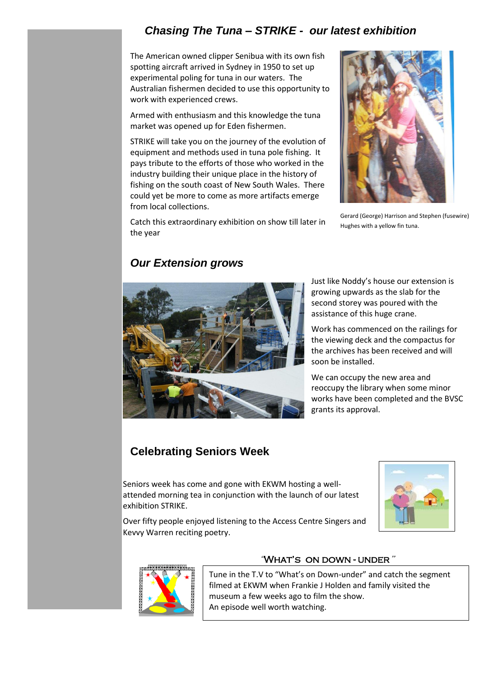## *Chasing The Tuna – STRIKE - our latest exhibition*

The American owned clipper Senibua with its own fish spotting aircraft arrived in Sydney in 1950 to set up experimental poling for tuna in our waters. The Australian fishermen decided to use this opportunity to work with experienced crews.

Armed with enthusiasm and this knowledge the tuna market was opened up for Eden fishermen.

STRIKE will take you on the journey of the evolution of equipment and methods used in tuna pole fishing. It pays tribute to the efforts of those who worked in the industry building their unique place in the history of fishing on the south coast of New South Wales. There could yet be more to come as more artifacts emerge from local collections.



Gerard (George) Harrison and Stephen (fusewire) Hughes with a yellow fin tuna.

Catch this extraordinary exhibition on show till later in the year

## *Our Extension grows*



Just like Noddy's house our extension is growing upwards as the slab for the second storey was poured with the assistance of this huge crane.

Work has commenced on the railings for the viewing deck and the compactus for the archives has been received and will soon be installed.

We can occupy the new area and reoccupy the library when some minor works have been completed and the BVSC grants its approval.

## **Celebrating Seniors Week**

Seniors week has come and gone with EKWM hosting a wellattended morning tea in conjunction with the launch of our latest exhibition STRIKE.



Over fifty people enjoyed listening to the Access Centre Singers and Kevvy Warren reciting poetry.



### 'WHAT'S ON DOWN - UNDER"

Tune in the T.V to "What's on Down-under" and catch the segment filmed at EKWM when Frankie J Holden and family visited the museum a few weeks ago to film the show. An episode well worth watching.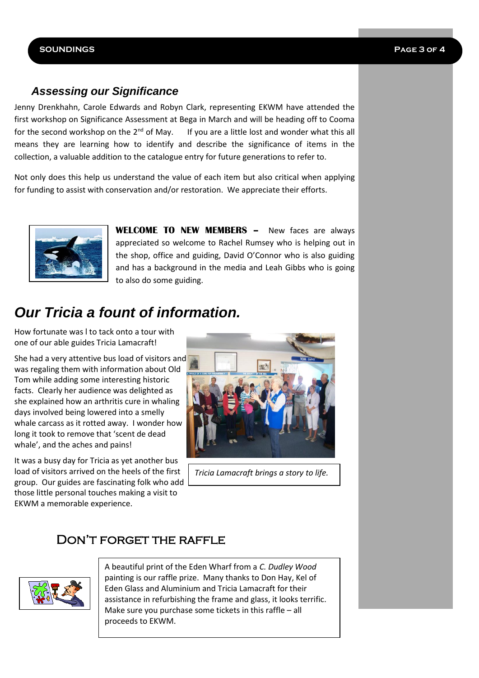#### **SOUNDINGS Page 3 of 4**

## *Assessing our Significance*

Jenny Drenkhahn, Carole Edwards and Robyn Clark, representing EKWM have attended the first workshop on Significance Assessment at Bega in March and will be heading off to Cooma for the second workshop on the  $2^{nd}$  of May. If you are a little lost and wonder what this all means they are learning how to identify and describe the significance of items in the collection, a valuable addition to the catalogue entry for future generations to refer to.

Not only does this help us understand the value of each item but also critical when applying for funding to assist with conservation and/or restoration. We appreciate their efforts.



**WELCOME TO NEW MEMBERS –** New faces are always appreciated so welcome to Rachel Rumsey who is helping out in the shop, office and guiding, David O'Connor who is also guiding and has a background in the media and Leah Gibbs who is going to also do some guiding.

# *Our Tricia a fount of information.*

How fortunate was l to tack onto a tour with one of our able guides Tricia Lamacraft!

She had a very attentive bus load of visitors and was regaling them with information about Old Tom while adding some interesting historic facts. Clearly her audience was delighted as she explained how an arthritis cure in whaling days involved being lowered into a smelly whale carcass as it rotted away. I wonder how long it took to remove that 'scent de dead whale', and the aches and pains!

It was a busy day for Tricia as yet another bus load of visitors arrived on the heels of the first group. Our guides are fascinating folk who add those little personal touches making a visit to EKWM a memorable experience.



*Tricia Lamacraft brings a story to life.*

## DON'T FORGET THE RAFFLE



A beautiful print of the Eden Wharf from a *C. Dudley Wood* painting is our raffle prize. Many thanks to Don Hay, Kel of Eden Glass and Aluminium and Tricia Lamacraft for their assistance in refurbishing the frame and glass, it looks terrific. Make sure you purchase some tickets in this raffle – all proceeds to EKWM.